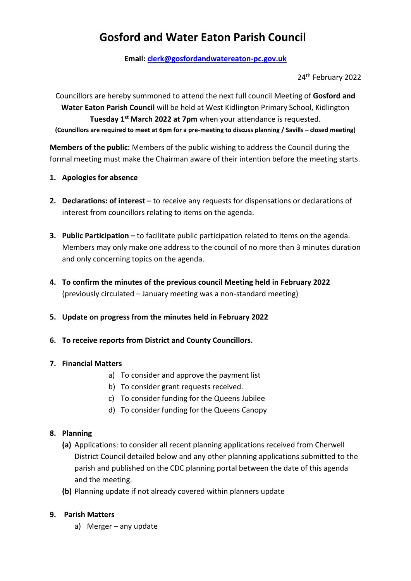# **Gosford and Water Eaton Parish Council**

**Email: [clerk@gosfordandwatereaton-pc.gov.uk](mailto:clerk@gosfordandwatereaton-pc.gov.uk)**

24th February 2022

Councillors are hereby summoned to attend the next full council Meeting of **Gosford and Water Eaton Parish Council** will be held at West Kidlington Primary School, Kidlington **Tuesday 1st March 2022 at 7pm** when your attendance is requested. **(Councillors are required to meet at 6pm for a pre-meeting to discuss planning / Savills – closed meeting)**

**Members of the public:** Members of the public wishing to address the Council during the formal meeting must make the Chairman aware of their intention before the meeting starts.

- **1. Apologies for absence**
- **2. Declarations: of interest –** to receive any requests for dispensations or declarations of interest from councillors relating to items on the agenda.
- **3. Public Participation –** to facilitate public participation related to items on the agenda. Members may only make one address to the council of no more than 3 minutes duration and only concerning topics on the agenda.
- **4. To confirm the minutes of the previous council Meeting held in February 2022** (previously circulated – January meeting was a non-standard meeting)
- **5. Update on progress from the minutes held in February 2022**
- **6. To receive reports from District and County Councillors.**

#### **7. Financial Matters**

- a) To consider and approve the payment list
- b) To consider grant requests received.
- c) To consider funding for the Queens Jubilee
- d) To consider funding for the Queens Canopy

#### **8. Planning**

- **(a)** Applications: to consider all recent planning applications received from Cherwell District Council detailed below and any other planning applications submitted to the parish and published on the CDC planning portal between the date of this agenda and the meeting.
- **(b)** Planning update if not already covered within planners update

#### **9. Parish Matters**

a) Merger – any update